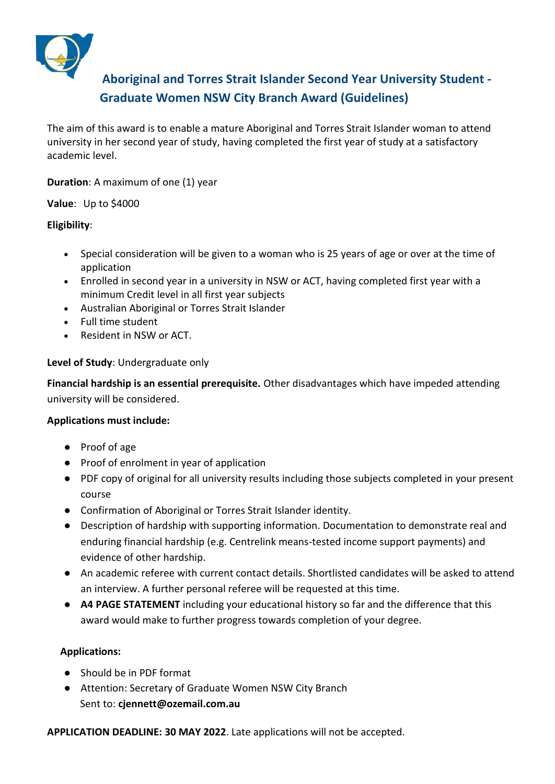

# **Aboriginal and Torres Strait Islander Second Year University Student - Graduate Women NSW City Branch Award (Guidelines)**

The aim of this award is to enable a mature Aboriginal and Torres Strait Islander woman to attend university in her second year of study, having completed the first year of study at a satisfactory academic level.

**Duration**: A maximum of one (1) year

**Value**: Up to \$4000

### **Eligibility**:

- Special consideration will be given to a woman who is 25 years of age or over at the time of application
- Enrolled in second year in a university in NSW or ACT, having completed first year with a minimum Credit level in all first year subjects
- Australian Aboriginal or Torres Strait Islander
- Full time student
- Resident in NSW or ACT.

### **Level of Study**: Undergraduate only

**Financial hardship is an essential prerequisite.** Other disadvantages which have impeded attending university will be considered.

# **Applications must include:**

- Proof of age
- Proof of enrolment in year of application
- PDF copy of original for all university results including those subjects completed in your present course
- Confirmation of Aboriginal or Torres Strait Islander identity.
- Description of hardship with supporting information. Documentation to demonstrate real and enduring financial hardship (e.g. Centrelink means-tested income support payments) and evidence of other hardship.
- An academic referee with current contact details. Shortlisted candidates will be asked to attend an interview. A further personal referee will be requested at this time.
- **A4 PAGE STATEMENT** including your educational history so far and the difference that this award would make to further progress towards completion of your degree.

# **Applications:**

- Should be in PDF format
- Attention: Secretary of Graduate Women NSW City Branch Sent to: **cjennett@ozemail.com.au**

**APPLICATION DEADLINE: 30 MAY 2022**. Late applications will not be accepted.